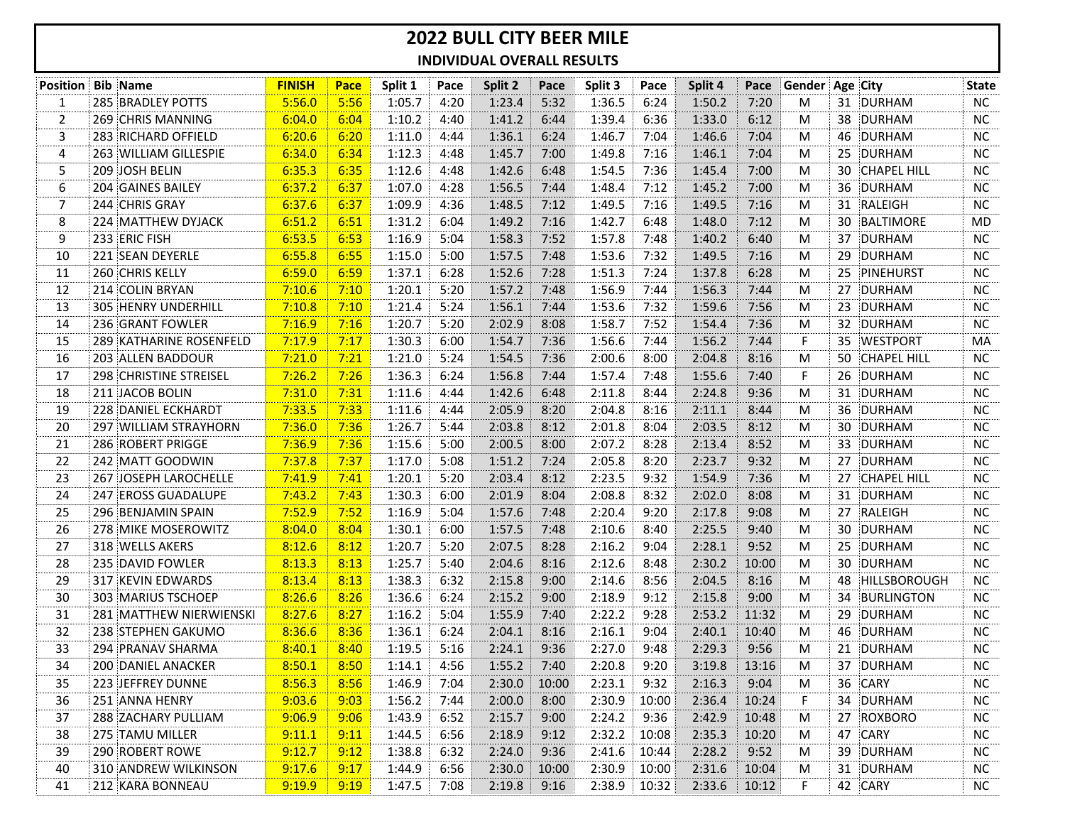## **2022 BULL CITY BEER MILE INDIVIDUAL OVERALL RESULTS**

|              | <b>Position Bib Name</b> | <b>FINISH</b> | Pace | Split 1 | Pace | Split 2 | Pace  | Split 3 | Pace  | Split 4 | Pace  | ∣ Gender   Age ∶City |    |                    | <b>State</b> |
|--------------|--------------------------|---------------|------|---------|------|---------|-------|---------|-------|---------|-------|----------------------|----|--------------------|--------------|
| 1            | 285 BRADLEY POTTS        | 5:56.0        | 5:56 | 1:05.7  | 4:20 | 1:23.4  | 5:32  | 1:36.5  | 6:24  | 1:50.2  | 7:20  | M                    |    | 31 DURHAM          | <b>NC</b>    |
| $\mathbf{2}$ | 269 CHRIS MANNING        | 6:04.0        | 6:04 | 1:10.2  | 4:40 | 1:41.2  | 6:44  | 1:39.4  | 6:36  | 1:33.0  | 6:12  | M                    |    | 38 DURHAM          | NC           |
| 3            | 283 RICHARD OFFIELD      | 6:20.6        | 6:20 | 1:11.0  | 4:44 | 1:36.1  | 6:24  | 1:46.7  | 7:04  | 1:46.6  | 7:04  | M                    |    | 46 DURHAM          | NC.          |
| 4            | 263 WILLIAM GILLESPIE    | 6:34.0        | 6:34 | 1:12.3  | 4:48 | 1:45.7  | 7:00  | 1:49.8  | 7:16  | 1:46.1  | 7:04  | M                    | 25 | DURHAM             | NC.          |
| 5.           | 209 JOSH BELIN           | 6:35.3        | 6:35 | 1:12.6  | 4:48 | 1:42.6  | 6:48  | 1:54.5  | 7:36  | 1:45.4  | 7:00  | M                    | 30 | <b>CHAPEL HILL</b> | <b>NC</b>    |
| 6            | 204 GAINES BAILEY        | 6:37.2        | 6:37 | 1:07.0  | 4:28 | 1:56.5  | 7:44  | 1:48.4  | 7:12  | 1:45.2  | 7:00  | M                    | 36 | DURHAM             | NC.          |
| 7            | 244 CHRIS GRAY           | 6:37.6        | 6:37 | 1:09.9  | 4:36 | 1:48.5  | 7:12  | 1:49.5  | 7:16  | 1:49.5  | 7:16  | M                    |    | 31 RALEIGH         | NC.          |
| 8            | 224 MATTHEW DYJACK       | 6:51.2        | 6:51 | 1:31.2  | 6:04 | 1:49.2  | 7:16  | 1:42.7  | 6:48  | 1:48.0  | 7:12  | M                    | 30 | BALTIMORE          | MD           |
| 9            | 233 ERIC FISH            | 6:53.5        | 6:53 | 1:16.9  | 5:04 | 1:58.3  | 7:52  | 1:57.8  | 7:48  | 1:40.2  | 6:40  | M                    |    | 37 DURHAM          | NC.          |
| 10           | 221 SEAN DEYERLE         | 6:55.8        | 6:55 | 1:15.0  | 5:00 | 1:57.5  | 7:48  | 1:53.6  | 7:32  | 1:49.5  | 7:16  | м                    | 29 | DURHAM             | NC.          |
| 11           | 260 CHRIS KELLY          | 6:59.0        | 6:59 | 1:37.1  | 6:28 | 1:52.6  | 7:28  | 1:51.3  | 7:24  | 1:37.8  | 6:28  | M                    |    | 25 PINEHURST       | NC.          |
| 12           | 214 COLIN BRYAN          | 7:10.6        | 7:10 | 1:20.1  | 5:20 | 1:57.2  | 7:48  | 1:56.9  | 7:44  | 1:56.3  | 7:44  | M                    |    | 27 DURHAM          | NC.          |
| 13           | 305 HENRY UNDERHILL      | 7:10.8        | 7:10 | 1:21.4  | 5:24 | 1:56.1  | 7:44  | 1:53.6  | 7:32  | 1:59.6  | 7:56  | M                    |    | 23 DURHAM          | NC           |
| 14           | 236 GRANT FOWLER         | 7:16.9        | 7:16 | 1:20.7  | 5:20 | 2:02.9  | 8:08  | 1:58.7  | 7:52  | 1:54.4  | 7:36  | M                    |    | 32 DURHAM          | NC.          |
| 15           | 289 KATHARINE ROSENFELD  | 7:17.9        | 7:17 | 1:30.3  | 6:00 | 1:54.7  | 7:36  | 1:56.6  | 7:44  | 1:56.2  | 7:44  | F                    |    | 35 WESTPORT        | MA           |
| 16           | 203 ALLEN BADDOUR        | 7:21.0        | 7:21 | 1:21.0  | 5:24 | 1:54.5  | 7:36  | 2:00.6  | 8:00  | 2:04.8  | 8:16  | M                    | 50 | <b>CHAPEL HILL</b> | NC.          |
| 17           | 298 CHRISTINE STREISEL   | 7:26.2        | 7:26 | 1:36.3  | 6:24 | 1:56.8  | 7:44  | 1:57.4  | 7:48  | 1:55.6  | 7:40  | F                    | 26 | <b>DURHAM</b>      | NC.          |
| 18           | 211 JACOB BOLIN          | 7:31.0        | 7:31 | 1:11.6  | 4:44 | 1:42.6  | 6:48  | 2:11.8  | 8:44  | 2:24.8  | 9:36  | м                    | 31 | DURHAM             | <b>NC</b>    |
| 19           | 228 DANIEL ECKHARDT      | 7:33.5        | 7:33 | 1:11.6  | 4:44 | 2:05.9  | 8:20  | 2:04.8  | 8:16  | 2:11.1  | 8:44  | M                    |    | 36 DURHAM          | NC.          |
| 20           | 297 WILLIAM STRAYHORN    | 7:36.0        | 7:36 | 1:26.7  | 5:44 | 2:03.8  | 8:12  | 2:01.8  | 8:04  | 2:03.5  | 8:12  | M                    |    | 30 DURHAM          | NC.          |
| 21           | 286 ROBERT PRIGGE        | 7:36.9        | 7:36 | 1:15.6  | 5:00 | 2:00.5  | 8:00  | 2:07.2  | 8:28  | 2:13.4  | 8:52  | M                    |    | 33 DURHAM          | <b>NC</b>    |
| 22           | 242 MATT GOODWIN         | 7:37.8        | 7:37 | 1:17.0  | 5:08 | 1:51.2  | 7:24  | 2:05.8  | 8:20  | 2:23.7  | 9:32  | M                    | 27 | <b>DURHAM</b>      | <b>NC</b>    |
| 23           | 267 JOSEPH LAROCHELLE    | 7:41.9        | 7:41 | 1:20.1  | 5:20 | 2:03.4  | 8:12  | 2:23.5  | 9:32  | 1:54.9  | 7:36  | M                    | 27 | <b>CHAPEL HILL</b> | NC.          |
| 24           | 247 EROSS GUADALUPE      | 7:43.2        | 7:43 | 1:30.3  | 6:00 | 2:01.9  | 8:04  | 2:08.8  | 8:32  | 2:02.0  | 8:08  | M                    |    | 31 DURHAM          | NC           |
| 25           | 296 BENJAMIN SPAIN       | 7:52.9        | 7:52 | 1:16.9  | 5:04 | 1:57.6  | 7:48  | 2:20.4  | 9:20  | 2:17.8  | 9:08  | M                    |    | 27 RALEIGH         | NC.          |
| 26           | 278 MIKE MOSEROWITZ      | 8:04.0        | 8:04 | 1:30.1  | 6:00 | 1:57.5  | 7:48  | 2:10.6  | 8:40  | 2:25.5  | 9:40  | M                    | 30 | DURHAM             | NC.          |
| 27           | 318 WELLS AKERS          | 8:12.6        | 8:12 | 1:20.7  | 5:20 | 2:07.5  | 8:28  | 2:16.2  | 9:04  | 2:28.1  | 9:52  | м                    |    | 25 DURHAM          | NC.          |
| 28           | 235 DAVID FOWLER         | 8:13.3        | 8:13 | 1:25.7  | 5:40 | 2:04.6  | 8:16  | 2:12.6  | 8:48  | 2:30.2  | 10:00 | M                    |    | 30 DURHAM          | NC.          |
| 29           | 317 KEVIN EDWARDS        | 8:13.4        | 8:13 | 1:38.3  | 6:32 | 2:15.8  | 9:00  | 2:14.6  | 8:56  | 2:04.5  | 8:16  | M                    |    | 48 HILLSBOROUGH    | NC.          |
| 30           | 303 MARIUS TSCHOEP       | 8:26.6        | 8:26 | 1:36.6  | 6:24 | 2:15.2  | 9:00  | 2:18.9  | 9:12  | 2:15.8  | 9:00  | M                    | 34 | BURLINGTON         | NC           |
| 31           | 281 MATTHEW NIERWIENSKI  | 8:27.6        | 8:27 | 1:16.2  | 5:04 | 1:55.9  | 7:40  | 2:22.2  | 9:28  | 2:53.2  | 11:32 | M                    | 29 | <b>DURHAM</b>      | <b>NC</b>    |
| 32           | 238 STEPHEN GAKUMO       | 8:36.6        | 8:36 | 1:36.1  | 6:24 | 2:04.1  | 8:16  | 2:16.1  | 9:04  | 2:40.1  | 10:40 | M                    | 46 | DURHAM             | NC           |
| 33           | 294 PRANAV SHARMA        | 8:40.1        | 8:40 | 1:19.5  | 5:16 | 2:24.1  | 9:36  | 2:27.0  | 9:48  | 2:29.3  | 9:56  | M                    | 21 | DURHAM             | NC.          |
| 34           | 200 DANIEL ANACKER       | 8:50.1        | 8:50 | 1:14.1  | 4:56 | 1:55.2  | 7:40  | 2:20.8  | 9:20  | 3:19.8  | 13:16 | м                    |    | 37 DURHAM          | NC.          |
| 35           | 223 JEFFREY DUNNE        | 8:56.3        | 8:56 | 1:46.9  | 7:04 | 2:30.0  | 10:00 | 2:23.1  | 9:32  | 2:16.3  | 9:04  | M                    |    | 36 CARY            | <b>NC</b>    |
| 36           | 251 ANNA HENRY           | 9:03.6        | 9:03 | 1:56.2  | 7:44 | 2:00.0  | 8:00  | 2:30.9  | 10:00 | 2:36.4  | 10:24 | F                    |    | 34 DURHAM          | NC           |
| 37           | 288 ZACHARY PULLIAM      | 9:06.9        | 9:06 | 1:43.9  | 6:52 | 2:15.7  | 9:00  | 2:24.2  | 9:36  | 2:42.9  | 10:48 | M                    |    | 27 ROXBORO         | NC.          |
| 38           | 275 TAMU MILLER          | 9:11.1        | 9:11 | 1:44.5  | 6:56 | 2:18.9  | 9:12  | 2:32.2  | 10:08 | 2:35.3  | 10:20 | M                    |    | 47 CARY            | NC           |
| 39           | 290 ROBERT ROWE          | 9:12.7        | 9:12 | 1:38.8  | 6:32 | 2:24.0  | 9:36  | 2:41.6  | 10:44 | 2:28.2  | 9:52  | M                    |    | 39 DURHAM          | NC.          |
| 40           | 310 ANDREW WILKINSON     | 9:17.6        | 9:17 | 1:44.9  | 6:56 | 2:30.0  | 10:00 | 2:30.9  | 10:00 | 2:31.6  | 10:04 | M                    |    | 31 DURHAM          | NC.          |
| 41           | 212 KARA BONNEAU         | 9:19.9        | 9:19 | 1:47.5  | 7:08 | 2:19.8  | 9:16  | 2:38.9  | 10:32 | 2:33.6  | 10:12 | F                    |    | 42 CARY            | NC.          |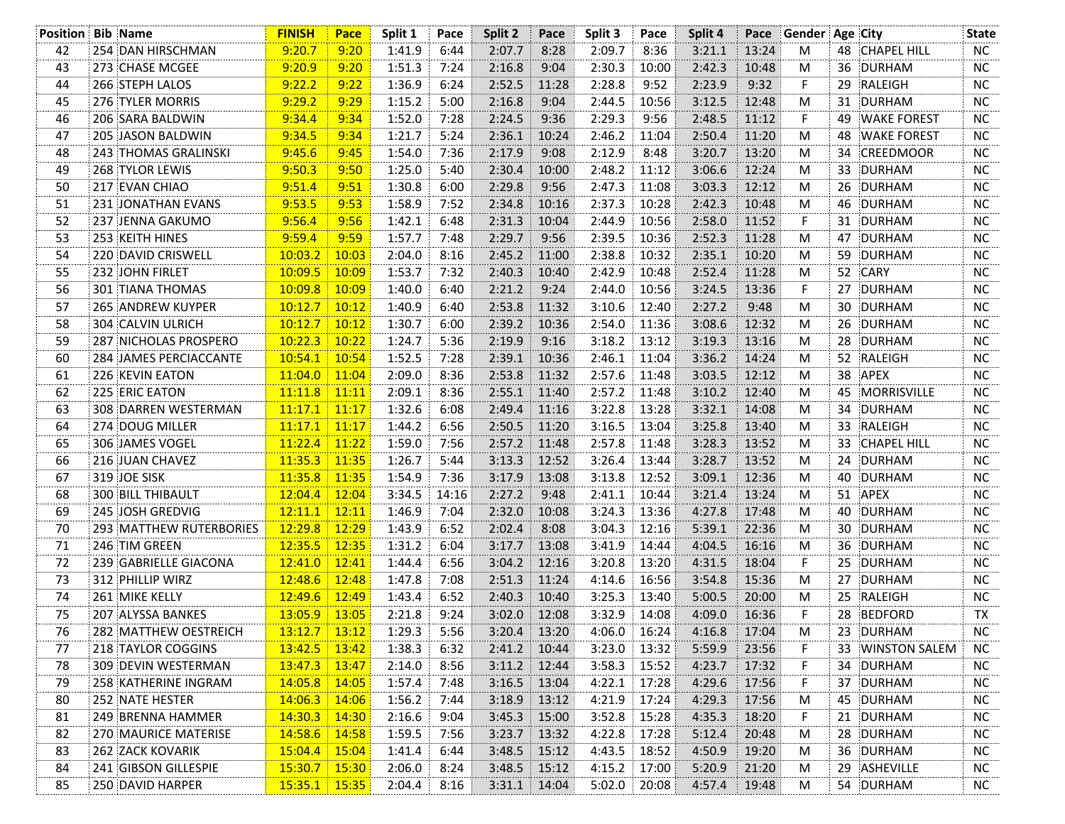| <b>Position Bib Name</b> |                               | <b>FINISH</b>   | Pace  | Split 1 | Pace  | Split 2        | Pace  | Split 3 | Pace  | Split 4 | Pace  | Gender Age City |    |                      | <b>State</b> |
|--------------------------|-------------------------------|-----------------|-------|---------|-------|----------------|-------|---------|-------|---------|-------|-----------------|----|----------------------|--------------|
| 42                       | 254 DAN HIRSCHMAN             | 9:20.7          | 9:20  | 1:41.9  | 6:44  | 2:07.7         | 8:28  | 2:09.7  | 8:36  | 3:21.1  | 13:24 | M               |    | 48 CHAPEL HILL       | NC.          |
| 43                       | 273 CHASE MCGEE               | 9:20.9          | 9:20  | 1:51.3  | 7:24  | 2:16.8         | 9:04  | 2:30.3  | 10:00 | 2:42.3  | 10:48 | M               | 36 | DURHAM               | <b>NC</b>    |
| 44                       | 266 STEPH LALOS               | 9:22.2          | 9:22  | 1:36.9  | 6:24  | 2:52.5         | 11:28 | 2:28.8  | 9:52  | 2:23.9  | 9:32  | F               | 29 | RALEIGH              | <b>NC</b>    |
| 45                       | <b>276 TYLER MORRIS</b>       | 9:29.2          | 9:29  | 1:15.2  | 5:00  | 2:16.8         | 9:04  | 2:44.5  | 10:56 | 3:12.5  | 12:48 | M               |    | 31 DURHAM            | NC.          |
| 46                       | 206 SARA BALDWIN              | 9:34.4          | 9:34  | 1:52.0  | 7:28  | 2:24.5         | 9:36  | 2:29.3  | 9:56  | 2:48.5  | 11:12 | F               | 49 | <b>WAKE FOREST</b>   | ΝC           |
| 47                       | 205 JASON BALDWIN             | 9:34.5          | 9:34  | 1:21.7  | 5:24  | 2:36.1         | 10:24 | 2:46.2  | 11:04 | 2:50.4  | 11:20 | M               | 48 | <b>WAKE FOREST</b>   | NC.          |
| 48                       | 243 THOMAS GRALINSKI          | 9:45.6          | 9:45  | 1:54.0  | 7:36  | 2:17.9         | 9:08  | 2:12.9  | 8:48  | 3:20.7  | 13:20 | M               | 34 | CREEDMOOR            | NC.          |
| 49                       | 268 TYLOR LEWIS               | 9:50.3          | 9:50  | 1:25.0  | 5:40  | 2:30.4         | 10:00 | 2:48.2  | 11:12 | 3:06.6  | 12:24 | M               | 33 | DURHAM               | NC.          |
| 50                       | 217 EVAN CHIAO                | 9:51.4          | 9:51  | 1:30.8  | 6:00  | 2:29.8         | 9:56  | 2:47.3  | 11:08 | 3:03.3  | 12:12 | M               | 26 | DURHAM               | ΝC           |
| 51                       | 231 JONATHAN EVANS            | 9:53.5          | 9:53  | 1:58.9  | 7:52  | 2:34.8         | 10:16 | 2:37.3  | 10:28 | 2:42.3  | 10:48 | M               | 46 | DURHAM               | <b>NC</b>    |
| 52                       | 237 JENNA GAKUMO              | 9:56.4          | 9:56  | 1:42.1  | 6:48  | 2:31.3         | 10:04 | 2:44.9  | 10:56 | 2:58.0  | 11:52 | F               |    | 31 DURHAM            | <b>NC</b>    |
| 53                       | 253 KEITH HINES               | 9:59.4          | 9:59  | 1:57.7  | 7:48  | 2:29.7         | 9:56  | 2:39.5  | 10:36 | 2:52.3  | 11:28 | M               | 47 | DURHAM               | NC           |
| 54                       | 220 DAVID CRISWELL            | 10:03.2         | 10:03 | 2:04.0  | 8:16  | 2:45.2         | 11:00 | 2:38.8  | 10:32 | 2:35.1  | 10:20 | M               | 59 | DURHAM               | <b>NC</b>    |
| 55                       | 232 JOHN FIRLET               | 10:09.5         | 10:09 | 1:53.7  | 7:32  | 2:40.3         | 10:40 | 2:42.9  | 10:48 | 2:52.4  | 11:28 | M               |    | 52 CARY              | NC           |
| 56                       | <b>301 TIANA THOMAS</b>       | 10:09.8         | 10:09 | 1:40.0  | 6:40  | 2:21.2         | 9:24  | 2:44.0  | 10:56 | 3:24.5  | 13:36 | F.              | 27 | DURHAM               | NC           |
| 57                       | 265 ANDREW KUYPER             | 10:12.7         | 10:12 | 1:40.9  | 6:40  | 2:53.8         | 11:32 | 3:10.6  | 12:40 | 2:27.2  | 9:48  | M               | 30 | DURHAM               | NC.          |
| 58                       | 304 CALVIN ULRICH             | 10:12.7         | 10:12 | 1:30.7  | 6:00  | 2:39.2         | 10:36 | 2:54.0  | 11:36 | 3:08.6  | 12:32 | M               |    | 26 DURHAM            | <b>NC</b>    |
| 59                       | 287 NICHOLAS PROSPERO         | 10:22.3         | 10:22 | 1:24.7  | 5:36  | 2:19.9         | 9:16  | 3:18.2  | 13:12 | 3:19.3  | 13:16 | M               |    | 28 DURHAM            | NC.          |
| 60                       | <b>284 JAMES PERCIACCANTE</b> | 10:54.1         | 10:54 | 1:52.5  | 7:28  | 2:39.1         | 10:36 | 2:46.1  | 11:04 | 3:36.2  | 14:24 | M               |    | 52 RALEIGH           | <b>NC</b>    |
| 61                       | 226 KEVIN EATON               | 11:04.0         | 11:04 | 2:09.0  | 8:36  | 2:53.8         | 11:32 | 2:57.6  | 11:48 | 3:03.5  | 12:12 | M               | 38 | APEX                 | <b>NC</b>    |
| 62                       | 225 ERIC EATON                | 11:11.8         | 11:11 | 2:09.1  | 8:36  | 2:55.1         | 11:40 | 2:57.2  | 11:48 | 3:10.2  | 12:40 | M               | 45 | <b>MORRISVILLE</b>   | NC.          |
| 63                       | 308 DARREN WESTERMAN          | 11:17.1         | 11:17 | 1:32.6  | 6:08  | 2:49.4         | 11:16 | 3:22.8  | 13:28 | 3:32.1  | 14:08 | M               | 34 | DURHAM               | NC           |
| 64                       | 274 DOUG MILLER               | 11:17.1         | 11:17 | 1:44.2  | 6:56  | 2:50.5         | 11:20 | 3:16.5  | 13:04 | 3:25.8  | 13:40 | M               | 33 | RALEIGH              | <b>NC</b>    |
| 65                       | 306 JAMES VOGEL               | 11:22.4         | 11:22 | 1:59.0  | 7:56  | 2:57.2         | 11:48 | 2:57.8  | 11:48 | 3:28.3  | 13:52 | M               | 33 | <b>CHAPEL HILL</b>   | <b>NC</b>    |
| 66                       | 216 JUAN CHAVEZ               | 11:35.3         | 11:35 | 1:26.7  | 5:44  | 3:13.3         | 12:52 | 3:26.4  | 13:44 | 3:28.7  | 13:52 | M               | 24 | DURHAM               | NC.          |
| 67                       | 319 JOE SISK                  | 11:35.8         | 11:35 | 1:54.9  | 7:36  | 3:17.9         | 13:08 | 3:13.8  | 12:52 | 3:09.1  | 12:36 | M               | 40 | DURHAM               | <b>NC</b>    |
| 68                       | <b>300 BILL THIBAULT</b>      | 12:04.4         | 12:04 | 3:34.5  | 14:16 | 2:27.2         | 9:48  | 2:41.1  | 10:44 | 3:21.4  | 13:24 | M               |    | 51 APEX              | <b>NC</b>    |
| 69                       | 245 JOSH GREDVIG              | 12:11.1         | 12:11 | 1:46.9  | 7:04  | 2:32.0         | 10:08 | 3:24.3  | 13:36 | 4:27.8  | 17:48 | M               |    | 40 DURHAM            | NC.          |
| 70                       | 293 MATTHEW RUTERBORIES       | 12:29.8         | 12:29 | 1:43.9  | 6:52  | 2:02.4         | 8:08  | 3:04.3  | 12:16 | 5:39.1  | 22:36 | M               | 30 | DURHAM               | NC           |
| 71                       | 246 TIM GREEN                 | 12:35.5         | 12:35 | 1:31.2  | 6:04  | 3:17.7         | 13:08 | 3:41.9  | 14:44 | 4:04.5  | 16:16 | M               | 36 | DURHAM               | <b>NC</b>    |
| 72                       | 239 GABRIELLE GIACONA         | 12:41.0         | 12:41 | 1:44.4  | 6:56  | 3:04.2         | 12:16 | 3:20.8  | 13:20 | 4:31.5  | 18:04 | F               | 25 | DURHAM               | NC           |
| 73                       | 312 PHILLIP WIRZ              | 12:48.6         | 12:48 | 1:47.8  | 7:08  | 2:51.3         | 11:24 | 4:14.6  | 16:56 | 3:54.8  | 15:36 | M               | 27 | DURHAM               | NC.          |
| 74                       | 261 MIKE KELLY                | 12:49.6         | 12:49 | 1:43.4  | 6:52  | 2:40.3         | 10:40 | 3:25.3  | 13:40 | 5:00.5  | 20:00 | M               | 25 | RALEIGH              | <b>NC</b>    |
| 75                       | 207 ALYSSA BANKES             | 13:05.9         | 13:05 | 2:21.8  | 9:24  | 3:02.0         | 12:08 | 3:32.9  | 14:08 | 4:09.0  | 16:36 | F               |    | 28 BEDFORD           | TX           |
| 76                       | 282 MATTHEW OESTREICH         | $13:12.7$ 13:12 |       | 1:29.3  | 5:56  | 3:20.4         | 13:20 | 4:06.0  | 16:24 | 4:16.8  | 17:04 | M               |    | 23 DURHAM            | NC           |
| 77                       | 218 TAYLOR COGGINS            | 13:42.5         | 13:42 | 1:38.3  | 6:32  | 2:41.2         | 10:44 | 3:23.0  | 13:32 | 5:59.9  | 23:56 | F               | 33 | <b>WINSTON SALEM</b> | NC.          |
| 78                       | 309 DEVIN WESTERMAN           | 13:47.3         | 13:47 | 2:14.0  | 8:56  | 3:11.2         | 12:44 | 3:58.3  | 15:52 | 4:23.7  | 17:32 | $\overline{F}$  |    | 34 DURHAM            | NC           |
| 79                       | 258 KATHERINE INGRAM          | 14:05.8         | 14:05 | 1:57.4  | 7:48  | 3:16.5         | 13:04 | 4:22.1  | 17:28 | 4:29.6  | 17:56 | F               | 37 | DURHAM               | ΝC           |
| 80                       | 252 NATE HESTER               | 14:06.3         | 14:06 | 1:56.2  | 7:44  | 3:18.9         | 13:12 | 4:21.9  | 17:24 | 4:29.3  | 17:56 | M               | 45 | DURHAM               | NC           |
| 81                       | 249 BRENNA HAMMER             | 14:30.3         | 14:30 | 2:16.6  | 9:04  | 3:45.3         | 15:00 | 3:52.8  | 15:28 | 4:35.3  | 18:20 | F.              |    | 21 DURHAM            | NC           |
| 82                       | 270 MAURICE MATERISE          | 14:58.6         | 14:58 | 1:59.5  | 7:56  | 3:23.7         | 13:32 | 4:22.8  | 17:28 | 5:12.4  | 20:48 | M               |    | 28 DURHAM            | NC           |
| 83                       | 262 ZACK KOVARIK              | 15:04.4         | 15:04 | 1:41.4  | 6:44  | 3:48.5         | 15:12 | 4:43.5  | 18:52 | 4:50.9  | 19:20 | M               | 36 | DURHAM               | NC.          |
| 84                       | 241 GIBSON GILLESPIE          | 15:30.7         | 15:30 | 2:06.0  | 8:24  | $3:48.5$ 15:12 |       | 4:15.2  | 17:00 | 5:20.9  | 21:20 | M               |    | 29 ASHEVILLE         | NC           |
| 85                       | 250 DAVID HARPER              | $15:35.1$ 15:35 |       | 2:04.4  | 8:16  | $3:31.1$ 14:04 |       | 5:02.0  | 20:08 | 4:57.4  | 19:48 | M               |    | 54 DURHAM            | NC           |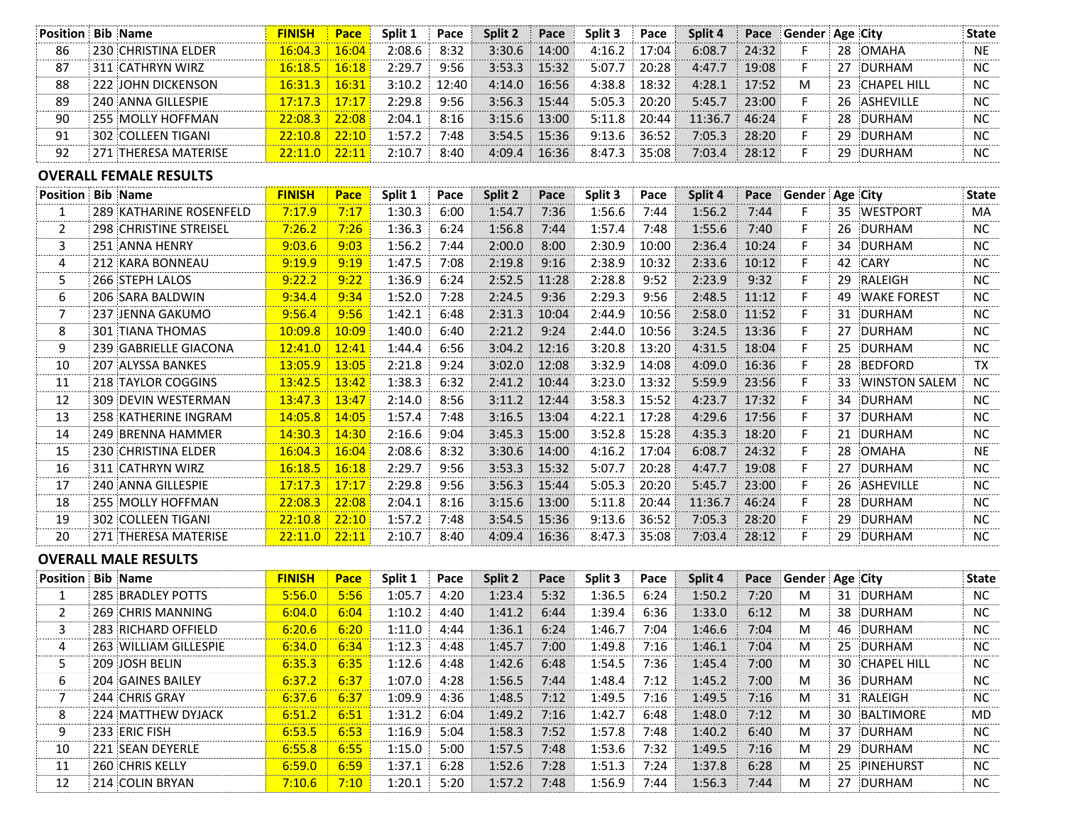| <b>Position</b> | <b>Bib Name</b>               | <b>FINISH</b>   | Pace       | Split 1 | Pace  | Split 2 | Pace  | Split 3 | Pace  | Split 4 | Pace  | Gender Age City      |    |                      | State        |
|-----------------|-------------------------------|-----------------|------------|---------|-------|---------|-------|---------|-------|---------|-------|----------------------|----|----------------------|--------------|
| 86              | 230 CHRISTINA ELDER           | 16:04.3         | 16:04      | 2:08.6  | 8:32  | 3:30.6  | 14:00 | 4:16.2  | 17:04 | 6:08.7  | 24:32 | F                    | 28 | OMAHA                | <b>NE</b>    |
| 87              | 311 CATHRYN WIRZ              | 16:18.5         | 16:18      | 2:29.7  | 9:56  | 3:53.3  | 15:32 | 5:07.7  | 20:28 | 4:47.7  | 19:08 | F                    | 27 | DURHAM               | <b>NC</b>    |
| 88              | 222 JOHN DICKENSON            | 16:31.3         | 16:31      | 3:10.2  | 12:40 | 4:14.0  | 16:56 | 4:38.8  | 18:32 | 4:28.1  | 17:52 | M                    | 23 | <b>CHAPEL HILL</b>   | NC           |
| 89              | 240 ANNA GILLESPIE            | 17:17.3         | 17:17      | 2:29.8  | 9:56  | 3:56.3  | 15:44 | 5:05.3  | 20:20 | 5:45.7  | 23:00 | F                    |    | 26 ASHEVILLE         | NC.          |
| 90              | 255 MOLLY HOFFMAN             | 22:08.3         | 22:08      | 2:04.1  | 8:16  | 3:15.6  | 13:00 | 5:11.8  | 20:44 | 11:36.7 | 46:24 | F                    | 28 | DURHAM               | NC.          |
| 91              | <b>302 COLLEEN TIGANI</b>     | 22:10.8         | 22:10      | 1:57.2  | 7:48  | 3:54.5  | 15:36 | 9:13.6  | 36:52 | 7:05.3  | 28:20 | F                    | 29 | DURHAM               | NC.          |
| 92              | 271 THERESA MATERISE          | $22:11.0$ 22:11 |            | 2:10.7  | 8:40  | 4:09.4  | 16:36 | 8:47.3  | 35:08 | 7:03.4  | 28:12 | F                    |    | 29 DURHAM            | NC.          |
|                 | <b>OVERALL FEMALE RESULTS</b> |                 |            |         |       |         |       |         |       |         |       |                      |    |                      |              |
| <b>Position</b> | <b>Bib Name</b>               | <b>FINISH</b>   | Pace       | Split 1 | Pace  | Split 2 | Pace  | Split 3 | Pace  | Split 4 | Pace  | Gender Age City      |    |                      | <b>State</b> |
| 1               | 289 KATHARINE ROSENFELD       | 7:17.9          | 7:17       | 1:30.3  | 6:00  | 1:54.7  | 7:36  | 1:56.6  | 7:44  | 1:56.2  | 7:44  | F                    | 35 | <b>WESTPORT</b>      | MA           |
| 2               | 298 CHRISTINE STREISEL        | 7:26.2          | 7:26       | 1:36.3  | 6:24  | 1:56.8  | 7:44  | 1:57.4  | 7:48  | 1:55.6  | 7:40  | F                    | 26 | DURHAM               | <b>NC</b>    |
| 3               | 251 ANNA HENRY                | 9:03.6          | 9:03       | 1:56.2  | 7:44  | 2:00.0  | 8:00  | 2:30.9  | 10:00 | 2:36.4  | 10:24 | F                    | 34 | DURHAM               | <b>NC</b>    |
| 4               | 212 KARA BONNEAU              | 9:19.9          | 9:19       | 1:47.5  | 7:08  | 2:19.8  | 9:16  | 2:38.9  | 10:32 | 2:33.6  | 10:12 | F                    | 42 | <b>CARY</b>          | <b>NC</b>    |
| 5.              | 266 STEPH LALOS               | 9:22.2          | 9:22       | 1:36.9  | 6:24  | 2:52.5  | 11:28 | 2:28.8  | 9:52  | 2:23.9  | 9:32  | F                    | 29 | RALEIGH              | NC.          |
| 6               | 206 SARA BALDWIN              | 9:34.4          | 9:34       | 1:52.0  | 7:28  | 2:24.5  | 9:36  | 2:29.3  | 9:56  | 2:48.5  | 11:12 | F.                   | 49 | <b>WAKE FOREST</b>   | <b>NC</b>    |
| 7               | 237 JENNA GAKUMO              | 9:56.4          | 9:56       | 1:42.1  | 6:48  | 2:31.3  | 10:04 | 2:44.9  | 10:56 | 2:58.0  | 11:52 | F                    |    | 31 DURHAM            | NC.          |
| 8               | <b>301 TIANA THOMAS</b>       | 10:09.8         | 10:09      | 1:40.0  | 6:40  | 2:21.2  | 9:24  | 2:44.0  | 10:56 | 3:24.5  | 13:36 | F                    | 27 | DURHAM               | NC.          |
| 9               | 239 GABRIELLE GIACONA         | 12:41.0         | 12:41      | 1:44.4  | 6:56  | 3:04.2  | 12:16 | 3:20.8  | 13:20 | 4:31.5  | 18:04 | F                    | 25 | DURHAM               | <b>NC</b>    |
| 10              | 207 ALYSSA BANKES             | 13:05.9         | 13:05      | 2:21.8  | 9:24  | 3:02.0  | 12:08 | 3:32.9  | 14:08 | 4:09.0  | 16:36 | F.                   | 28 | BEDFORD              | TX           |
| 11              | 218 TAYLOR COGGINS            | 13:42.5         | 13:42      | 1:38.3  | 6:32  | 2:41.2  | 10:44 | 3:23.0  | 13:32 | 5:59.9  | 23:56 | F                    | 33 | <b>WINSTON SALEM</b> | NC.          |
| 12              | 309 DEVIN WESTERMAN           | 13:47.3         | 13:47      | 2:14.0  | 8:56  | 3:11.2  | 12:44 | 3:58.3  | 15:52 | 4:23.7  | 17:32 | F                    | 34 | DURHAM               | <b>NC</b>    |
| 13              | 258 KATHERINE INGRAM          | 14:05.8         | 14:05      | 1:57.4  | 7:48  | 3:16.5  | 13:04 | 4:22.1  | 17:28 | 4:29.6  | 17:56 | F                    | 37 | DURHAM               | <b>NC</b>    |
| 14              | 249 BRENNA HAMMER             | 14:30.3         | 14:30      | 2:16.6  | 9:04  | 3:45.3  | 15:00 | 3:52.8  | 15:28 | 4:35.3  | 18:20 | F                    | 21 | DURHAM               | <b>NC</b>    |
| 15              | 230 CHRISTINA ELDER           | 16:04.3         | 16:04      | 2:08.6  | 8:32  | 3:30.6  | 14:00 | 4:16.2  | 17:04 | 6:08.7  | 24:32 | F                    |    | 28 OMAHA             | <b>NE</b>    |
| 16              | 311 CATHRYN WIRZ              | 16:18.5         | 16:18      | 2:29.7  | 9:56  | 3:53.3  | 15:32 | 5:07.7  | 20:28 | 4:47.7  | 19:08 | F                    | 27 | DURHAM               | NC           |
| 17              | 240 ANNA GILLESPIE            | 17:17.3         | 17:17      | 2:29.8  | 9:56  | 3:56.3  | 15:44 | 5:05.3  | 20:20 | 5:45.7  | 23:00 | F                    | 26 | ASHEVILLE            | NC.          |
| 18              | 255 MOLLY HOFFMAN             | 22:08.3         | 22:08      | 2:04.1  | 8:16  | 3:15.6  | 13:00 | 5:11.8  | 20:44 | 11:36.7 | 46:24 | F.                   | 28 | DURHAM               | NC.          |
| 19              | 302 COLLEEN TIGANI            | 22:10.8         | 22:10      | 1:57.2  | 7:48  | 3:54.5  | 15:36 | 9:13.6  | 36:52 | 7:05.3  | 28:20 | F                    | 29 | DURHAM               | NC.          |
| 20              | 271 THERESA MATERISE          | $22:11.0$ 22:11 |            | 2:10.7  | 8:40  | 4:09.4  | 16:36 | 8:47.3  | 35:08 | 7:03.4  | 28:12 | F                    | 29 | DURHAM               | <b>NC</b>    |
|                 | <b>OVERALL MALE RESULTS</b>   |                 |            |         |       |         |       |         |       |         |       |                      |    |                      |              |
|                 | <b>Position Bib Name</b>      | <b>FINISH</b>   | Pace<br>-1 | Split 1 | Pace  | Split 2 | Pace  | Split 3 | Pace  | Split 4 |       | Pace Gender Age City |    |                      | <b>State</b> |
|                 |                               |                 |            |         |       |         |       |         |       |         |       |                      |    |                      |              |

| 00111011 010 1101110 |                          |        | <u>.</u> | - - - - - | .    | V               | .               | $\sim$ postativa $\sim$ | .    | $2PIII+T$ | $\sim$ | $\sim$ |                | -----     |
|----------------------|--------------------------|--------|----------|-----------|------|-----------------|-----------------|-------------------------|------|-----------|--------|--------|----------------|-----------|
|                      | <b>285 BRADLEY POTTS</b> | 5:56.0 | 5:56     | 1:05.7    | 4:20 |                 | $1:23.4$ $5:32$ | 1:36.5                  | 6:24 | 1:50.2    | 7:20   | M      | 31 DURHAM      | <b>NC</b> |
|                      | 269 CHRIS MANNING        | 6:04.0 | 6:04     | 1:10.2    | 4:40 | 1:41.2          | 6:44            | 1:39.4                  | 6:36 | 1:33.0    | 6:12   | M      | 38 DURHAM      | <b>NC</b> |
|                      | 283 RICHARD OFFIELD      | 6:20.6 | $-6:20$  | 1:11.0    | 4:44 | $1:36.1$ 6:24   |                 | 1:46.7                  | 7:04 | 1:46.6    | 7:04   | M      | 46 DURHAM      | <b>NC</b> |
|                      | : 263 :WILLIAM GILLESPIE | 6:34.0 | 6:34     | 1:12.3    | 4:48 |                 | $1:45.7$ 7:00   | 1:49.8                  | 7:16 | 1:46.1    | 7:04   | M      | 25 DURHAM      | <b>NC</b> |
|                      | 209 JOSH BELIN           | 6:35.3 | 6:35     | 1:12.6    | 4:48 | $1:42.6$ 6:48   |                 | 1:54.5                  | 7:36 | 1:45.4    | 7:00   | M      | 30 CHAPEL HILL | <b>NC</b> |
| 6                    | 204 GAINES BAILEY        | 6:37.2 | 6:37     | 1:07.0    | 4:28 | $1:56.5$ 7:44   |                 | 1:48.4                  | 7:12 | 1:45.2    | 7:00   | M      | 36 DURHAM      | <b>NC</b> |
|                      | : 244 :CHRIS GRAY        | 6:37.6 | 6:37     | 1:09.9    | 4:36 | $1:48.5$ $7:12$ |                 | 1:49.5                  | 7:16 | 1:49.5    | 7:16   | M      | 31 RALEIGH     | <b>NC</b> |
|                      | 224 MATTHEW DYJACK       | 6:51.2 | 6:51     | 1:31.2    | 6:04 |                 | $1:49.2$ 7:16   | 1:42.7                  | 6:48 | 1:48.0    | 7:12   | M      | 30 BALTIMORE   | MD        |
| 9                    | 233 ERIC FISH            | 6:53.5 | 6:53     | 1:16.9    | 5:04 |                 | $1:58.3$ 7:52   | 1:57.8                  | 7:48 | 1:40.2    | 6:40   | M      | 37 DURHAM      | <b>NC</b> |
| 10                   | <b>221 SEAN DEYERLE</b>  | 6:55.8 | 6:55     | 1:15.0    | 5:00 | $1:57.5$ 7:48   |                 | 1:53.6                  | 7:32 | 1:49.5    | 7:16   | M      | 29 DURHAM      | <b>NC</b> |
|                      | 260 CHRIS KELLY          | 6:59.0 | 6:59     | 1:37.1    | 6:28 | 1:52.6          | 7:28            | 1:51.3                  | 7:24 | 1:37.8    | 6:28   | M      | 25 PINEHURST   | <b>NC</b> |
| 12                   | 214 COLIN BRYAN          | 7:10.6 | 7:10     | 1:20.1    | 5:20 | $1:57.2$ 7:48   |                 | 1:56.9                  | 7:44 | 1:56.3    | 7:44   | M      | 27 DURHAM      | <b>NC</b> |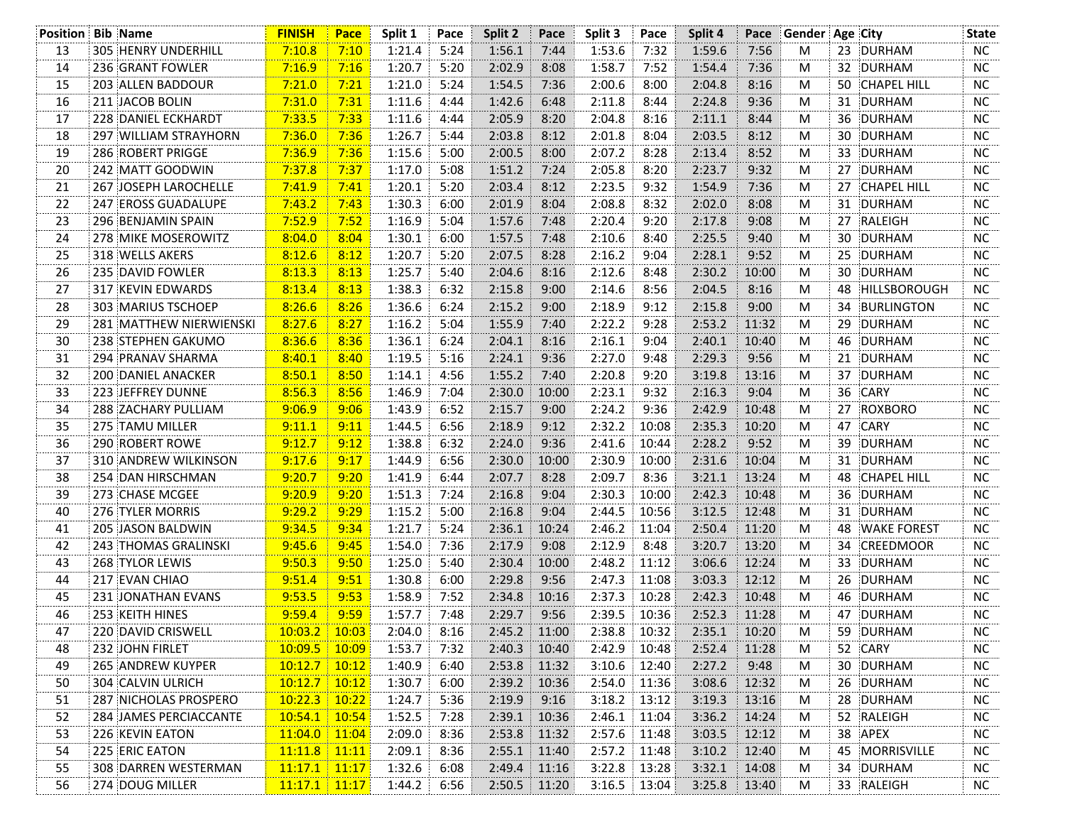|    | <b>Position Bib Name</b>       | <b>FINISH</b>   | Pace  | Split 1 | Pace | Split 2        | Pace  | Split 3 | Pace  | Split 4 | Pace  | Gender Age City |    |                    | <b>State</b> |
|----|--------------------------------|-----------------|-------|---------|------|----------------|-------|---------|-------|---------|-------|-----------------|----|--------------------|--------------|
| 13 | <b>305 HENRY UNDERHILL</b>     | 7:10.8          | 7:10  | 1:21.4  | 5:24 | 1:56.1         | 7:44  | 1:53.6  | 7:32  | 1:59.6  | 7:56  | M               |    | 23 DURHAM          | NC.          |
| 14 | 236 GRANT FOWLER               | 7:16.9          | 7:16  | 1:20.7  | 5:20 | 2:02.9         | 8:08  | 1:58.7  | 7:52  | 1:54.4  | 7:36  | M               | 32 | DURHAM             | <b>NC</b>    |
| 15 | 203 ALLEN BADDOUR              | 7:21.0          | 7:21  | 1:21.0  | 5:24 | 1:54.5         | 7:36  | 2:00.6  | 8:00  | 2:04.8  | 8:16  | M               | 50 | <b>CHAPEL HILL</b> | <b>NC</b>    |
| 16 | 211 JACOB BOLIN                | 7:31.0          | 7:31  | 1:11.6  | 4:44 | 1:42.6         | 6:48  | 2:11.8  | 8:44  | 2:24.8  | 9:36  | M               | 31 | DURHAM             | ΝC           |
| 17 | 228 DANIEL ECKHARDT            | 7:33.5          | 7:33  | 1:11.6  | 4:44 | 2:05.9         | 8:20  | 2:04.8  | 8:16  | 2:11.1  | 8:44  | M               | 36 | DURHAM             | <b>NC</b>    |
| 18 | 297 WILLIAM STRAYHORN          | 7:36.0          | 7:36  | 1:26.7  | 5:44 | 2:03.8         | 8:12  | 2:01.8  | 8:04  | 2:03.5  | 8:12  | M               | 30 | <b>DURHAM</b>      | <b>NC</b>    |
| 19 | 286 ROBERT PRIGGE              | 7:36.9          | 7:36  | 1:15.6  | 5:00 | 2:00.5         | 8:00  | 2:07.2  | 8:28  | 2:13.4  | 8:52  | M               | 33 | DURHAM             | NC.          |
| 20 | 242 MATT GOODWIN               | 7:37.8          | 7:37  | 1:17.0  | 5:08 | 1:51.2         | 7:24  | 2:05.8  | 8:20  | 2:23.7  | 9:32  | M               | 27 | <b>DURHAM</b>      | NC.          |
| 21 | 267 JOSEPH LAROCHELLE          | 7:41.9          | 7:41  | 1:20.1  | 5:20 | 2:03.4         | 8:12  | 2:23.5  | 9:32  | 1:54.9  | 7:36  | M               | 27 | <b>CHAPEL HILL</b> | <b>NC</b>    |
| 22 | 247 EROSS GUADALUPE            | 7:43.2          | 7:43  | 1:30.3  | 6:00 | 2:01.9         | 8:04  | 2:08.8  | 8:32  | 2:02.0  | 8:08  | M               | 31 | DURHAM             | <b>NC</b>    |
| 23 | 296 BENJAMIN SPAIN             | 7:52.9          | 7:52  | 1:16.9  | 5:04 | 1:57.6         | 7:48  | 2:20.4  | 9:20  | 2:17.8  | 9:08  | M               | 27 | RALEIGH            | <b>NC</b>    |
| 24 | 278 MIKE MOSEROWITZ            | 8:04.0          | 8:04  | 1:30.1  | 6:00 | 1:57.5         | 7:48  | 2:10.6  | 8:40  | 2:25.5  | 9:40  | M               | 30 | DURHAM             | NC.          |
| 25 | 318 WELLS AKERS                | 8:12.6          | 8:12  | 1:20.7  | 5:20 | 2:07.5         | 8:28  | 2:16.2  | 9:04  | 2:28.1  | 9:52  | M               | 25 | DURHAM             | NC           |
| 26 | 235 DAVID FOWLER               | 8:13.3          | 8:13  | 1:25.7  | 5:40 | 2:04.6         | 8:16  | 2:12.6  | 8:48  | 2:30.2  | 10:00 | M               |    | 30 DURHAM          | NC.          |
| 27 | 317 KEVIN EDWARDS              | 8:13.4          | 8:13  | 1:38.3  | 6:32 | 2:15.8         | 9:00  | 2:14.6  | 8:56  | 2:04.5  | 8:16  | M               | 48 | HILLSBOROUGH       | NC.          |
| 28 | 303 MARIUS TSCHOEP             | 8:26.6          | 8:26  | 1:36.6  | 6:24 | 2:15.2         | 9:00  | 2:18.9  | 9:12  | 2:15.8  | 9:00  | M               | 34 | BURLINGTON         | <b>NC</b>    |
| 29 | <b>281 MATTHEW NIERWIENSKI</b> | 8:27.6          | 8:27  | 1:16.2  | 5:04 | 1:55.9         | 7:40  | 2:22.2  | 9:28  | 2:53.2  | 11:32 | M               | 29 | DURHAM             | <b>NC</b>    |
| 30 | 238 STEPHEN GAKUMO             | 8:36.6          | 8:36  | 1:36.1  | 6:24 | 2:04.1         | 8:16  | 2:16.1  | 9:04  | 2:40.1  | 10:40 | M               |    | 46 DURHAM          | NC.          |
| 31 | 294 PRANAV SHARMA              | 8:40.1          | 8:40  | 1:19.5  | 5:16 | 2:24.1         | 9:36  | 2:27.0  | 9:48  | 2:29.3  | 9:56  | M               | 21 | DURHAM             | <b>NC</b>    |
| 32 | 200 DANIEL ANACKER             | 8:50.1          | 8:50  | 1:14.1  | 4:56 | 1:55.2         | 7:40  | 2:20.8  | 9:20  | 3:19.8  | 13:16 | M               | 37 | <b>DURHAM</b>      | <b>NC</b>    |
| 33 | 223 JEFFREY DUNNE              | 8:56.3          | 8:56  | 1:46.9  | 7:04 | 2:30.0         | 10:00 | 2:23.1  | 9:32  | 2:16.3  | 9:04  | M               | 36 | <b>CARY</b>        | ΝC           |
| 34 | 288 ZACHARY PULLIAM            | 9:06.9          | 9:06  | 1:43.9  | 6:52 | 2:15.7         | 9:00  | 2:24.2  | 9:36  | 2:42.9  | 10:48 | M               | 27 | ROXBORO            | <b>NC</b>    |
| 35 | 275 TAMU MILLER                | 9:11.1          | 9:11  | 1:44.5  | 6:56 | 2:18.9         | 9:12  | 2:32.2  | 10:08 | 2:35.3  | 10:20 | M               | 47 | CARY               | <b>NC</b>    |
| 36 | 290 ROBERT ROWE                | 9:12.7          | 9:12  | 1:38.8  | 6:32 | 2:24.0         | 9:36  | 2:41.6  | 10:44 | 2:28.2  | 9:52  | M               | 39 | DURHAM             | NC.          |
| 37 | 310 ANDREW WILKINSON           | 9:17.6          | 9:17  | 1:44.9  | 6:56 | 2:30.0         | 10:00 | 2:30.9  | 10:00 | 2:31.6  | 10:04 | M               |    | 31 DURHAM          | NC.          |
| 38 | 254 DAN HIRSCHMAN              | 9:20.7          | 9:20  | 1:41.9  | 6:44 | 2:07.7         | 8:28  | 2:09.7  | 8:36  | 3:21.1  | 13:24 | M               | 48 | <b>CHAPEL HILL</b> | <b>NC</b>    |
| 39 | 273 CHASE MCGEE                | 9:20.9          | 9:20  | 1:51.3  | 7:24 | 2:16.8         | 9:04  | 2:30.3  | 10:00 | 2:42.3  | 10:48 | M               |    | 36 DURHAM          | <b>NC</b>    |
| 40 | 276 TYLER MORRIS               | 9:29.2          | 9:29  | 1:15.2  | 5:00 | 2:16.8         | 9:04  | 2:44.5  | 10:56 | 3:12.5  | 12:48 | M               | 31 | DURHAM             | <b>NC</b>    |
| 41 | 205 JASON BALDWIN              | 9:34.5          | 9:34  | 1:21.7  | 5:24 | 2:36.1         | 10:24 | 2:46.2  | 11:04 | 2:50.4  | 11:20 | M               | 48 | <b>WAKE FOREST</b> | NC.          |
| 42 | 243 THOMAS GRALINSKI           | 9:45.6          | 9:45  | 1:54.0  | 7:36 | 2:17.9         | 9:08  | 2:12.9  | 8:48  | 3:20.7  | 13:20 | M               | 34 | CREEDMOOR          | ΝC           |
| 43 | 268 TYLOR LEWIS                | 9:50.3          | 9:50  | 1:25.0  | 5:40 | 2:30.4         | 10:00 | 2:48.2  | 11:12 | 3:06.6  | 12:24 | M               | 33 | DURHAM             | NC.          |
| 44 | 217 EVAN CHIAO                 | 9:51.4          | 9:51  | 1:30.8  | 6:00 | 2:29.8         | 9:56  | 2:47.3  | 11:08 | 3:03.3  | 12:12 | M               | 26 | DURHAM             | NC           |
| 45 | 231 JONATHAN EVANS             | 9:53.5          | 9:53  | 1:58.9  | 7:52 | 2:34.8         | 10:16 | 2:37.3  | 10:28 | 2:42.3  | 10:48 | M               | 46 | DURHAM             | NC.          |
| 46 | 253 KEITH HINES                | 9:59.4          | 9:59  | 1:57.7  | 7:48 | 2:29.7         | 9:56  | 2:39.5  | 10:36 | 2:52.3  | 11:28 | M               |    | 47 DURHAM          | NC           |
| 47 | 220 DAVID CRISWELL             | $10:03.2$ 10:03 |       | 2:04.0  | 8:16 | 2:45.2         | 11:00 | 2:38.8  | 10:32 | 2:35.1  | 10:20 | M               |    | 59 DURHAM          | <b>NC</b>    |
| 48 | 232 JOHN FIRLET                | 10:09.5         | 10:09 | 1:53.7  | 7:32 | 2:40.3         | 10:40 | 2:42.9  | 10:48 | 2:52.4  | 11:28 | M               |    | 52 CARY            | <b>NC</b>    |
| 49 | <b>265 ANDREW KUYPER</b>       | 10:12.7         | 10:12 | 1:40.9  | 6:40 | 2:53.8         | 11:32 | 3:10.6  | 12:40 | 2:27.2  | 9:48  | M               | 30 | DURHAM             | NC           |
| 50 | 304 CALVIN ULRICH              | 10:12.7         | 10:12 | 1:30.7  | 6:00 | 2:39.2         | 10:36 | 2:54.0  | 11:36 | 3:08.6  | 12:32 | M               |    | 26 DURHAM          | ΝC           |
| 51 | 287 NICHOLAS PROSPERO          | 10:22.3         | 10:22 | 1:24.7  | 5:36 | 2:19.9         | 9:16  | 3:18.2  | 13:12 | 3:19.3  | 13:16 | M               |    | 28 DURHAM          | NC           |
| 52 | 284 JAMES PERCIACCANTE         | 10:54.1         | 10:54 | 1:52.5  | 7:28 | 2:39.1         | 10:36 | 2:46.1  | 11:04 | 3:36.2  | 14:24 | M               |    | 52 RALEIGH         | NC.          |
| 53 | 226 KEVIN EATON                | 11:04.0         | 11:04 | 2:09.0  | 8:36 | 2:53.8         | 11:32 | 2:57.6  | 11:48 | 3:03.5  | 12:12 | M               |    | 38 APEX            | NC           |
| 54 | 225 ERIC EATON                 | 11:11.8         | 11:11 | 2:09.1  | 8:36 | 2:55.1         | 11:40 | 2:57.2  | 11:48 | 3:10.2  | 12:40 | M               | 45 | MORRISVILLE        | NC           |
| 55 | 308 DARREN WESTERMAN           | $11:17.1$ 11:17 |       | 1:32.6  | 6:08 | 2:49.4         | 11:16 | 3:22.8  | 13:28 | 3:32.1  | 14:08 | M               |    | 34 DURHAM          | NC.          |
| 56 | 274 DOUG MILLER                | $11:17.1$ 11:17 |       | 1:44.2  | 6:56 | $2:50.5$ 11:20 |       | 3:16.5  | 13:04 | 3:25.8  | 13:40 | M               |    | 33 RALEIGH         | NC           |